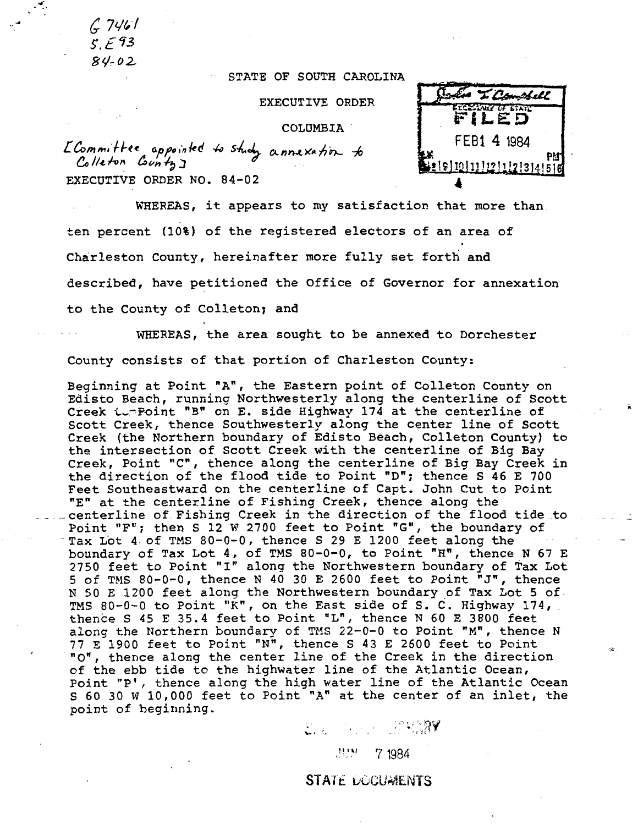$67461$  $5.593$  $84 - 02$ 

*I•* ,....

## STATE OF SOUTH CAROLINA

EXECUTIVE ORDER

COLUMBIA.

L Committee appointed to study annexation to Colleton *County*<sub>J</sub> EXECUTIVE ORDER NO. 84-02

WHEREAS, it appears to my satisfaction that more than ten percent (10%) of the registered electors of an area of Charleston County, hereinafter more fully set forth and described, have petitioned the Office of Governor for annexation to the County of Colleton; and

WHEREAS, the area sought to be annexed to Dorchester County consists of that portion of Charleston County:

Beginning at Point "A", the Eastern point of Colleton County on Edisto Beach, running Northwesterly along the centerline of Scott Creek turPoint "B" on E. side Highway 174 at the centerline of Scott Creek, thence Southwesterly along the center line of Scott Creek (the Northern boundary of Edisto Beach, Colleton County) to the intersection of Scott Creek with the centerline of Big Bay Creek, Point "C", thence along the centerline of Big Bay Creek in the direction of the flood tide to Point "D"; thence  $S$  46 E 700 Feet Southeastward on the centerline of Capt. John Cut to Point "E" at the centerline of Fishing Creek, thence along the centerline of Fishing Creek in the direction of the flood tide to Point "F"; then S 12 W 2700 feet to Point "G", the boundary of Tax Lot 4 of TMS 80-0-0, thence S 29 E 1200 feet along the boundary of Tax Lot 4, of TMS 80-0-0, to Point "H", thence N 67 E 2750 feet to Point "I" along the Northwestern boundary of Tax Lot 5 of TMS 80-0-0, thence N 40 30 E 2600 feet to Point "J", thence N 50 E 1200 feet along the Northwestern boundary of Tax Lot 5 of TMS 80-0-0 to Point "K", on the East side of S. C. Highway 174, thence s 45 E 35.4 feet to Point "L", thence N 60 E 3800 feet along the Northern boundary of TMS 22-0-0 to Point "M", thence N 77 E 1900 feet to Point "N", thence S 43 E 2600 feet to Point "0", thence along the center line of the Creek in the direction of the ebb tide to the highwater line of the Atlantic Ocean, Point "P', thence along the high water line of the Atlantic Ocean S 60 30 W 10,000 feet to Point "A" at the center of an inlet, the point of beginning.  $\varepsilon$ .  $\sim$   $\sim$   $\sim$   $\sim$   $\approx$   $\approx$   $\sim$ 

**p .,1** 

STATE DOCUMENTS

.·. 7 1984

4 T Combell LEESTARY OF STATE **FILED**  FEB1 4 1984  $911011112111213141516$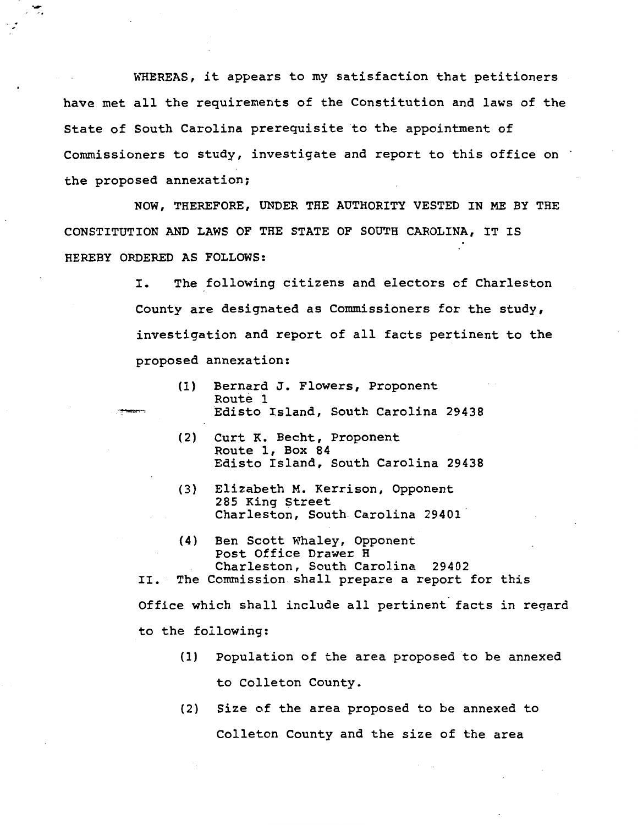WHEREAS, it appears to my satisfaction that petitioners have met all the requirements of the Constitution and laws of the State of South Carolina prerequisite to the appointment of Commissioners to study, investigate and report to this office on · the proposed annexation;

·-

NOW, THEREFORE, UNDER THE AUTHORITY VESTED IN ME BY THE CONSTITUTION AND LAWS OF THE STATE OF SOUTH CAROLINA, IT IS HEREBY ORDERED AS FOLLOWS:

> I. The following citizens and electors of Charleston County are designated as Commissioners for the study, investigation and report of all facts pertinent to the proposed annexation:

- (1) Bernard J. Flowers, Proponent Route 1 Edisto Island, South Carolina 29438
- (2) Curt K. Becht, Proponent Route 1, Box 84 Edisto Island, South Carolina 29438
- (3} Elizabeth M. Kerrison, Opponent 285 King Street Charleston, South Carolina 29401
- (4) Ben Scott Whaley, Opponent Post Office Drawer H Charleston, South Carolina 29402 II. The Commission shall prepare a report for this

Office which shall include all pertinent facts in regard to the following:

- (1) Population of the area proposed to be annexed to Colleton County.
- (2) Size of the area proposed to be annexed to Colleton County and the size of the area